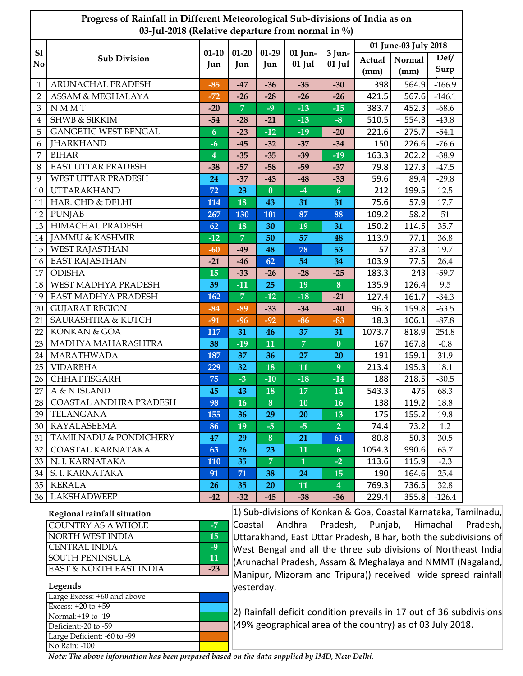| Progress of Rainfall in Different Meteorological Sub-divisions of India as on<br>03-Jul-2018 (Relative departure from normal in %) |                                   |                         |                  |                |                   |                         |                |                                               |              |  |
|------------------------------------------------------------------------------------------------------------------------------------|-----------------------------------|-------------------------|------------------|----------------|-------------------|-------------------------|----------------|-----------------------------------------------|--------------|--|
| S1<br>No                                                                                                                           | <b>Sub Division</b>               | $01 - 10$<br>Jun        | $01 - 20$<br>Jun | $01-29$<br>Jun | 01 Jun-<br>01 Jul | 3 Jun-<br>01 Jul        | Actual<br>(mm) | 01 June-03 July 2018<br><b>Normal</b><br>(mm) | Def/<br>Surp |  |
| 1                                                                                                                                  | ARUNACHAL PRADESH                 | $-85$                   | $-47$            | $-36$          | $-35$             | $-30$                   | 398            | 564.9                                         | $-166.9$     |  |
| $\overline{2}$                                                                                                                     | <b>ASSAM &amp; MEGHALAYA</b>      | $-72$                   | $-26$            | $-28$          | $-26$             | $-26$                   | 421.5          | 567.6                                         | $-146.1$     |  |
| 3                                                                                                                                  | <b>NMMT</b>                       | $-20$                   | $\overline{7}$   | $-9$           | $-13$             | $-15$                   | 383.7          | 452.3                                         | $-68.6$      |  |
| 4                                                                                                                                  | <b>SHWB &amp; SIKKIM</b>          | $-54$                   | $-28$            | $-21$          | $-13$             | $-8$                    | 510.5          | 554.3                                         | $-43.8$      |  |
| 5                                                                                                                                  | <b>GANGETIC WEST BENGAL</b>       | $\boldsymbol{6}$        | $-23$            | $-12$          | $-19$             | $-20$                   | 221.6          | 275.7                                         | $-54.1$      |  |
| 6                                                                                                                                  | <b>JHARKHAND</b>                  | $-6$                    | $-45$            | $-32$          | $-37$             | $-34$                   | 150            | 226.6                                         | $-76.6$      |  |
| 7                                                                                                                                  | <b>BIHAR</b>                      | $\overline{\mathbf{4}}$ | $-35$            | $-35$          | $-39$             | $-19$                   | 163.3          | 202.2                                         | $-38.9$      |  |
| 8                                                                                                                                  | EAST UTTAR PRADESH                | $-38$                   | $-57$            | $-58$          | $-59$             | $-37$                   | 79.8           | 127.3                                         | $-47.5$      |  |
| 9                                                                                                                                  | WEST UTTAR PRADESH                | 24                      | $-37$            | $-43$          | $-48$             | $-33$                   | 59.6           | 89.4                                          | $-29.8$      |  |
| 10                                                                                                                                 | <b>UTTARAKHAND</b>                | 72                      | 23               | $\bf{0}$       | $-4$              | $\boldsymbol{6}$        | 212            | 199.5                                         | 12.5         |  |
| 11                                                                                                                                 | HAR. CHD & DELHI                  | 114                     | 18               | 43             | 31                | 31                      | 75.6           | 57.9                                          | 17.7         |  |
| 12                                                                                                                                 | <b>PUNJAB</b>                     | 267                     | 130              | 101            | 87                | 88                      | 109.2          | 58.2                                          | 51           |  |
| 13                                                                                                                                 | <b>HIMACHAL PRADESH</b>           | 62                      | 18               | 30             | 19                | 31                      | 150.2          | 114.5                                         | 35.7         |  |
| 14                                                                                                                                 | <b>JAMMU &amp; KASHMIR</b>        | $-12$                   | $\overline{7}$   | 50             | 57                | 48                      | 113.9          | 77.1                                          | 36.8         |  |
| 15                                                                                                                                 | <b>WEST RAJASTHAN</b>             | $-60$                   | $-49$            | 48             | 78                | 53                      | 57             | 37.3                                          | 19.7         |  |
| 16                                                                                                                                 | <b>EAST RAJASTHAN</b>             | $-21$                   | $-46$            | 62             | 54                | 34                      | 103.9          | 77.5                                          | 26.4         |  |
| 17                                                                                                                                 | <b>ODISHA</b>                     | 15                      | $-33$            | $-26$          | $-28$             | $-25$                   | 183.3          | 243                                           | $-59.7$      |  |
| 18                                                                                                                                 | WEST MADHYA PRADESH               | 39                      | $-11$            | 25             | 19                | $\bf{8}$                | 135.9          | 126.4                                         | 9.5          |  |
| 19                                                                                                                                 | EAST MADHYA PRADESH               | 162                     | $\overline{7}$   | $-12$          | $-18$             | $-21$                   | 127.4          | 161.7                                         | $-34.3$      |  |
| 20                                                                                                                                 | <b>GUJARAT REGION</b>             | $-84$                   | $-89$            | $-33$          | $-34$             | $-40$                   | 96.3           | 159.8                                         | $-63.5$      |  |
| 21                                                                                                                                 | <b>SAURASHTRA &amp; KUTCH</b>     | $-91$                   | $-96$            | $-92$          | $-86$             | $-83$                   | 18.3           | 106.1                                         | $-87.8$      |  |
| 22                                                                                                                                 | KONKAN & GOA                      | 117                     | 31               | 46             | 37                | 31                      | 1073.7         | 818.9                                         | 254.8        |  |
| 23                                                                                                                                 | MADHYA MAHARASHTRA                | 38                      | $-19$            | 11             | $\overline{7}$    | $\boldsymbol{0}$        | 167            | 167.8                                         | $-0.8$       |  |
| 24                                                                                                                                 | MARATHWADA                        | 187                     | 37               | 36             | 27                | 20                      | 191            | 159.1                                         | 31.9         |  |
| 25                                                                                                                                 | <b>VIDARBHA</b>                   | 229                     | 32               | 18             | 11                | 9                       | 213.4          | 195.3                                         | 18.1         |  |
| 26                                                                                                                                 | CHHATTISGARH                      | 75                      | $-3$             | $-10$          | $-18$             | $-14$                   | 188            | 218.5                                         | $-30.5$      |  |
| 27                                                                                                                                 | A & N ISLAND                      | 45                      | 43               | 18             | 17                | 14                      | 543.3          | 475                                           | 68.3         |  |
| 28                                                                                                                                 | COASTAL ANDHRA PRADESH            | 98                      | 16               | 8              | 10                | 16                      | 138            | 119.2                                         | 18.8         |  |
| 29                                                                                                                                 | TELANGANA                         | 155                     | 36               | 29             | 20                | 13                      | 175            | 155.2                                         | 19.8         |  |
| 30 <sub>1</sub>                                                                                                                    | RAYALASEEMA                       | 86                      | 19               | $-5$           | $-5$              | 2 <sup>1</sup>          | 74.4           | 73.2                                          | 1.2          |  |
| 31                                                                                                                                 | <b>TAMILNADU &amp; PONDICHERY</b> | 47                      | 29               | 8              | 21                | 61                      | 80.8           | 50.3                                          | 30.5         |  |
| 32                                                                                                                                 | COASTAL KARNATAKA                 | 63                      | <b>26</b>        | 23             | 11                | 6 <sup>1</sup>          | 1054.3         | 990.6                                         | 63.7         |  |
| 33                                                                                                                                 | N. I. KARNATAKA                   | 110                     | 35               | $\overline{7}$ | $\mathbf{1}$      | $-2$                    | 113.6          | 115.9                                         | $-2.3$       |  |
| 34                                                                                                                                 | S. I. KARNATAKA                   | 91                      | 71               | 38             | 24                | 15                      | 190            | 164.6                                         | 25.4         |  |
| 35                                                                                                                                 | <b>KERALA</b>                     | 26                      | 35               | <b>20</b>      | 11                | $\overline{\mathbf{4}}$ | 769.3          | 736.5                                         | 32.8         |  |
| 36 <sup>1</sup>                                                                                                                    | <b>LAKSHADWEEP</b>                | $-42$                   | $-32$            | -45            | $-38$             | $-36$                   | 229.4          | 355.8                                         | $-126.4$     |  |

| Regional rainfall situation        |     |  |  |  |  |
|------------------------------------|-----|--|--|--|--|
| COUNTRY AS A WHOLE                 | -7  |  |  |  |  |
| NORTH WEST INDIA                   | 15  |  |  |  |  |
| <b>ICENTRAL INDIA</b>              | -9  |  |  |  |  |
| <b>SOUTH PENINSULA</b>             | 11  |  |  |  |  |
| <b>EAST &amp; NORTH EAST INDIA</b> | -23 |  |  |  |  |

## **Legends**

| Large Excess: +60 and above |  |
|-----------------------------|--|
| Excess: $+20$ to $+59$      |  |
| Normal: +19 to -19          |  |
| Deficient:-20 to -59        |  |
| Large Deficient: -60 to -99 |  |
| No Rain: -100               |  |

1) Sub-divisions of Konkan & Goa, Coastal Karnataka, Tamilnadu, Coastal Andhra Pradesh, Punjab, Himachal Pradesh, Uttarakhand, East Uttar Pradesh, Bihar, both the subdivisions of West Bengal and all the three sub divisions of Northeast India (Arunachal Pradesh, Assam & Meghalaya and NMMT (Nagaland, Manipur, Mizoram and Tripura)) received wide spread rainfall yesterday.

2) Rainfall deficit condition prevails in 17 out of 36 subdivisions (49% geographical area of the country) as of 03 July 2018.

*Note: The above information has been prepared based on the data supplied by IMD, New Delhi.*